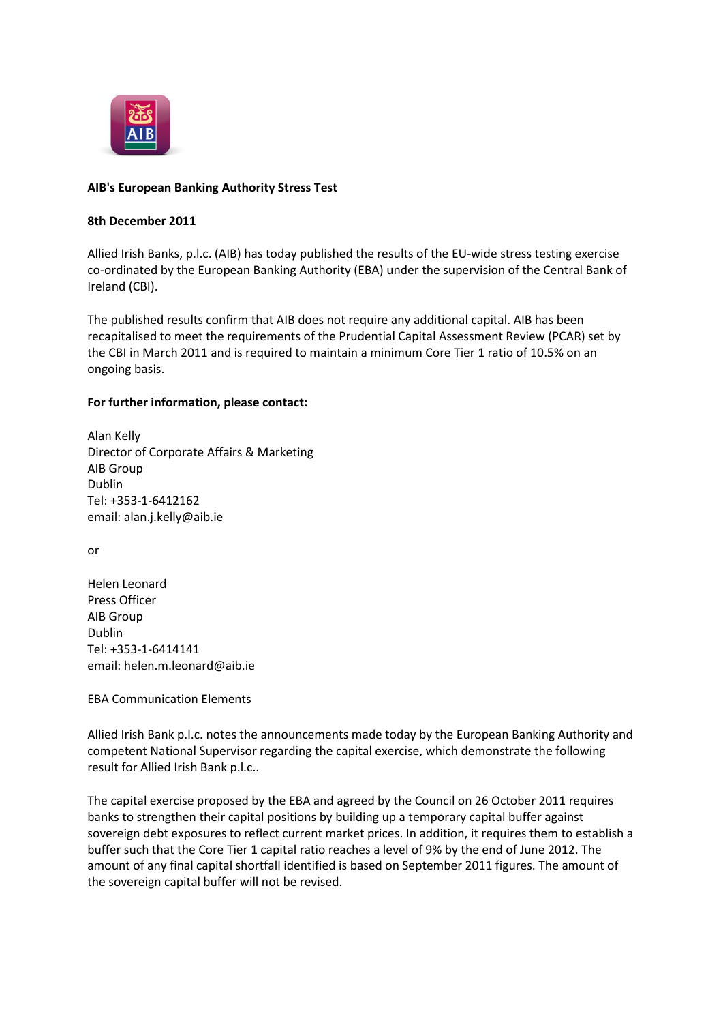

## **AIB's European Banking Authority Stress Test**

## **8th December 2011**

Allied Irish Banks, p.l.c. (AIB) has today published the results of the EU-wide stress testing exercise co-ordinated by the European Banking Authority (EBA) under the supervision of the Central Bank of Ireland (CBI).

The published results confirm that AIB does not require any additional capital. AIB has been recapitalised to meet the requirements of the Prudential Capital Assessment Review (PCAR) set by the CBI in March 2011 and is required to maintain a minimum Core Tier 1 ratio of 10.5% on an ongoing basis.

## **For further information, please contact:**

Alan Kelly Director of Corporate Affairs & Marketing AIB Group Dublin Tel: +353-1-6412162 email: alan.j.kelly@aib.ie

or

Helen Leonard Press Officer AIB Group Dublin Tel: +353-1-6414141 email: helen.m.leonard@aib.ie

EBA Communication Elements

Allied Irish Bank p.l.c. notes the announcements made today by the European Banking Authority and competent National Supervisor regarding the capital exercise, which demonstrate the following result for Allied Irish Bank p.l.c..

The capital exercise proposed by the EBA and agreed by the Council on 26 October 2011 requires banks to strengthen their capital positions by building up a temporary capital buffer against sovereign debt exposures to reflect current market prices. In addition, it requires them to establish a buffer such that the Core Tier 1 capital ratio reaches a level of 9% by the end of June 2012. The amount of any final capital shortfall identified is based on September 2011 figures. The amount of the sovereign capital buffer will not be revised.